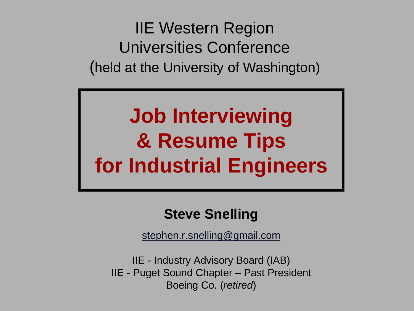IIE Western Region Universities Conference (held at the University of Washington)

# **Job Interviewing & Resume Tips for Industrial Engineers**

### **Steve Snelling**

[stephen.r.snelling@gmail.com](mailto:stephen.r.snelling@gmail.com)

IIE - Industry Advisory Board (IAB) IIE - Puget Sound Chapter – Past President Boeing Co. (*retired*)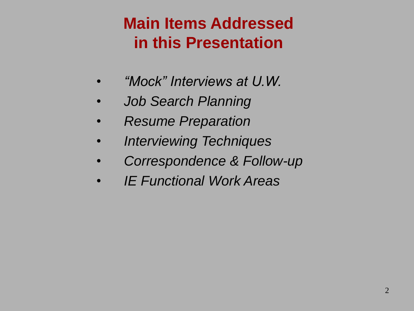## **Main Items Addressed in this Presentation**

- *"Mock" Interviews at U.W.*
- *Job Search Planning*
- *Resume Preparation*
- *Interviewing Techniques*
- *Correspondence & Follow-up*
- *IE Functional Work Areas*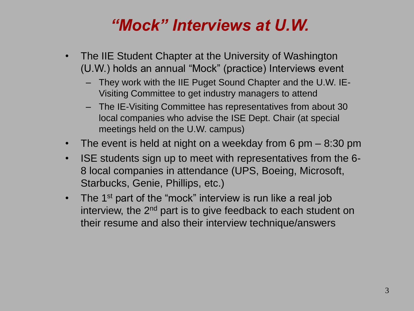## *"Mock" Interviews at U.W.*

- The IIE Student Chapter at the University of Washington (U.W.) holds an annual "Mock" (practice) Interviews event
	- They work with the IIE Puget Sound Chapter and the U.W. IE-Visiting Committee to get industry managers to attend
	- The IE-Visiting Committee has representatives from about 30 local companies who advise the ISE Dept. Chair (at special meetings held on the U.W. campus)
- The event is held at night on a weekday from 6 pm 8:30 pm
- ISE students sign up to meet with representatives from the 6- 8 local companies in attendance (UPS, Boeing, Microsoft, Starbucks, Genie, Phillips, etc.)
- The 1<sup>st</sup> part of the "mock" interview is run like a real job interview, the  $2<sup>nd</sup>$  part is to give feedback to each student on their resume and also their interview technique/answers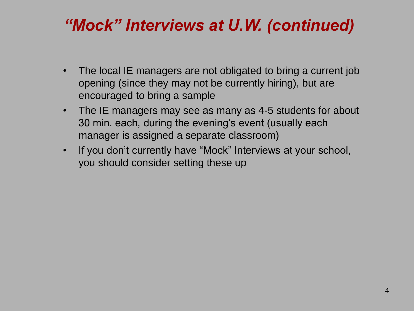## *"Mock" Interviews at U.W. (continued)*

- The local IE managers are not obligated to bring a current job opening (since they may not be currently hiring), but are encouraged to bring a sample
- The IE managers may see as many as 4-5 students for about 30 min. each, during the evening's event (usually each manager is assigned a separate classroom)
- If you don't currently have "Mock" Interviews at your school, you should consider setting these up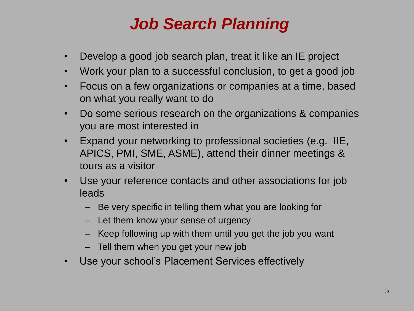## *Job Search Planning*

- Develop a good job search plan, treat it like an IE project
- Work your plan to a successful conclusion, to get a good job
- Focus on a few organizations or companies at a time, based on what you really want to do
- Do some serious research on the organizations & companies you are most interested in
- Expand your networking to professional societies (e.g. IIE, APICS, PMI, SME, ASME), attend their dinner meetings & tours as a visitor
- Use your reference contacts and other associations for job leads
	- Be very specific in telling them what you are looking for
	- Let them know your sense of urgency
	- Keep following up with them until you get the job you want
	- Tell them when you get your new job
- Use your school's Placement Services effectively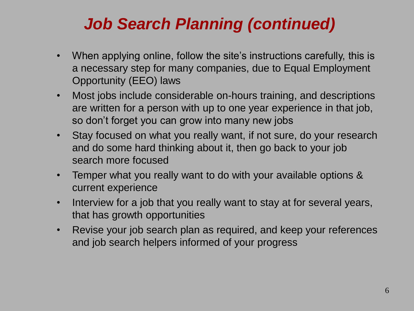## *Job Search Planning (continued)*

- When applying online, follow the site's instructions carefully, this is a necessary step for many companies, due to Equal Employment Opportunity (EEO) laws
- Most jobs include considerable on-hours training, and descriptions are written for a person with up to one year experience in that job, so don't forget you can grow into many new jobs
- Stay focused on what you really want, if not sure, do your research and do some hard thinking about it, then go back to your job search more focused
- Temper what you really want to do with your available options & current experience
- Interview for a job that you really want to stay at for several years, that has growth opportunities
- Revise your job search plan as required, and keep your references and job search helpers informed of your progress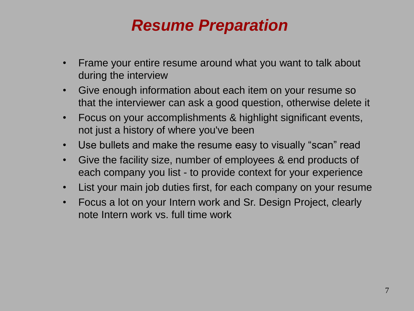## *Resume Preparation*

- Frame your entire resume around what you want to talk about during the interview
- Give enough information about each item on your resume so that the interviewer can ask a good question, otherwise delete it
- Focus on your accomplishments & highlight significant events, not just a history of where you've been
- Use bullets and make the resume easy to visually "scan" read
- Give the facility size, number of employees & end products of each company you list - to provide context for your experience
- List your main job duties first, for each company on your resume
- Focus a lot on your Intern work and Sr. Design Project, clearly note Intern work vs. full time work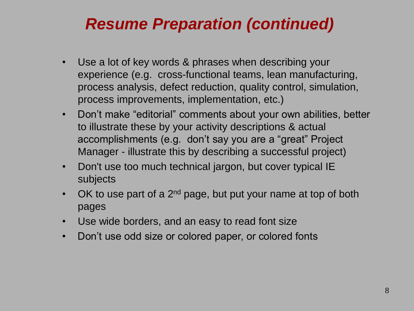### *Resume Preparation (continued)*

- Use a lot of key words & phrases when describing your experience (e.g. cross-functional teams, lean manufacturing, process analysis, defect reduction, quality control, simulation, process improvements, implementation, etc.)
- Don't make "editorial" comments about your own abilities, better to illustrate these by your activity descriptions & actual accomplishments (e.g. don't say you are a "great" Project Manager - illustrate this by describing a successful project)
- Don't use too much technical jargon, but cover typical IE subjects
- OK to use part of a  $2^{nd}$  page, but put your name at top of both pages
- Use wide borders, and an easy to read font size
- Don't use odd size or colored paper, or colored fonts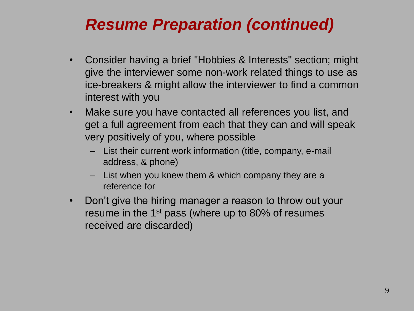## *Resume Preparation (continued)*

- Consider having a brief "Hobbies & Interests" section; might give the interviewer some non-work related things to use as ice-breakers & might allow the interviewer to find a common interest with you
- Make sure you have contacted all references you list, and get a full agreement from each that they can and will speak very positively of you, where possible
	- List their current work information (title, company, e-mail address, & phone)
	- List when you knew them & which company they are a reference for
- Don't give the hiring manager a reason to throw out your resume in the 1<sup>st</sup> pass (where up to 80% of resumes received are discarded)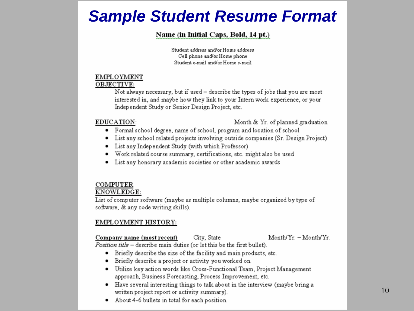### **Sample Student Resume Format**

#### Name (in Initial Caps, Bold, 14 pt.)

Student address and/or Home address Cell phone and/or Home phone Student e-mail and/or Home e-mail

#### **EMPLOYMENT**

#### OBJECTIVE:

Not always necessary, but if used - describe the types of jobs that you are most interested in, and maybe how they link to your Intern work experience, or your Independent Study or Senior Design Project, etc.

#### EDUCATION:

Month & Yr. of planned graduation

- Formal school degree, name of school, program and location of school
- List any school related projects involving outside companies (Sr. Design Project)
- List any Independent Study (with which Professor)
- · Work related course summary, certifications, etc. might also be used
- List any honorary academic societies or other academic awards

#### **COMPUTER** KNOWLEDGE:

List of computer software (maybe as multiple columns, maybe organized by type of software, & any code writing skills).

#### EMPLOYMENT HISTORY:

Company name (most recent) City, State  $MonthlyYr - Month/Yr$ Position title - describe main duties (or let this be the first bullet).

- Briefly describe the size of the facility and main products, etc.
- Briefly describe a project or activity you worked on.
- Utilize key action words like Cross-Functional Team, Project Management approach, Business Forecasting, Process Improvement, etc.
- Have several interesting things to talk about in the interview (maybe bring a written project report or activity summary).
- About 4-6 bullets in total for each position.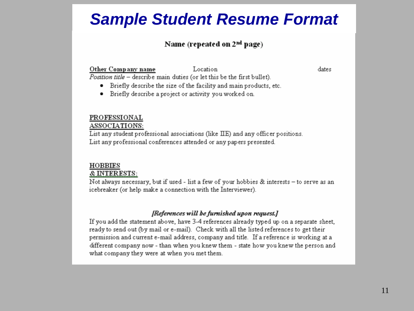### **Sample Student Resume Format**

#### Name (repeated on  $2<sup>nd</sup>$  page)

Other Company name Location Position title - describe main duties (or let this be the first bullet). dates

- Briefly describe the size of the facility and main products, etc.
- Briefly describe a project or activity you worked on.

#### PROFESSIONAL

#### ASSOCIATIONS:

List any student professional associations (like IIE) and any officer positions. List any professional conferences attended or any papers presented.

#### **HOBBIES**

#### **& INTERESTS:**

Not always necessary, but if used - list a few of your hobbies & interests - to serve as an icebreaker (or help make a connection with the Interviewer).

#### [References will be furnished upon request.]

If you add the statement above, have 3-4 references already typed up on a separate sheet, ready to send out (by mail or e-mail). Check with all the listed references to get their permission and current e-mail address, company and title. If a reference is working at a different company now - than when you knew them - state how you knew the person and what company they were at when you met them.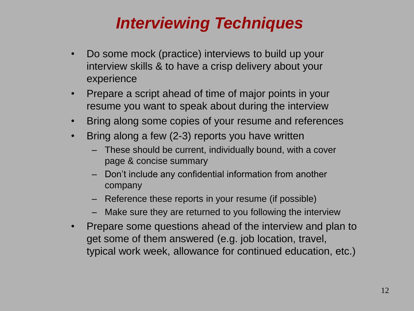## *Interviewing Techniques*

- Do some mock (practice) interviews to build up your interview skills & to have a crisp delivery about your experience
- Prepare a script ahead of time of major points in your resume you want to speak about during the interview
- Bring along some copies of your resume and references
- Bring along a few (2-3) reports you have written
	- These should be current, individually bound, with a cover page & concise summary
	- Don't include any confidential information from another company
	- Reference these reports in your resume (if possible)
	- Make sure they are returned to you following the interview
- Prepare some questions ahead of the interview and plan to get some of them answered (e.g. job location, travel, typical work week, allowance for continued education, etc.)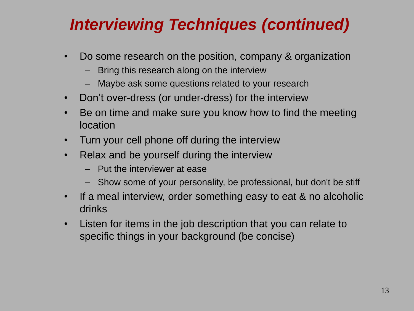## *Interviewing Techniques (continued)*

- Do some research on the position, company & organization
	- Bring this research along on the interview
	- Maybe ask some questions related to your research
- Don't over-dress (or under-dress) for the interview
- Be on time and make sure you know how to find the meeting location
- Turn your cell phone off during the interview
- Relax and be yourself during the interview
	- Put the interviewer at ease
	- Show some of your personality, be professional, but don't be stiff
- If a meal interview, order something easy to eat & no alcoholic drinks
- Listen for items in the job description that you can relate to specific things in your background (be concise)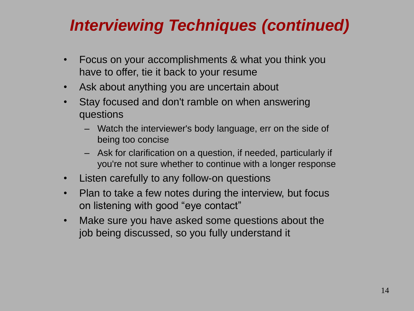## *Interviewing Techniques (continued)*

- Focus on your accomplishments & what you think you have to offer, tie it back to your resume
- Ask about anything you are uncertain about
- Stay focused and don't ramble on when answering questions
	- Watch the interviewer's body language, err on the side of being too concise
	- Ask for clarification on a question, if needed, particularly if you're not sure whether to continue with a longer response
- Listen carefully to any follow-on questions
- Plan to take a few notes during the interview, but focus on listening with good "eye contact"
- Make sure you have asked some questions about the job being discussed, so you fully understand it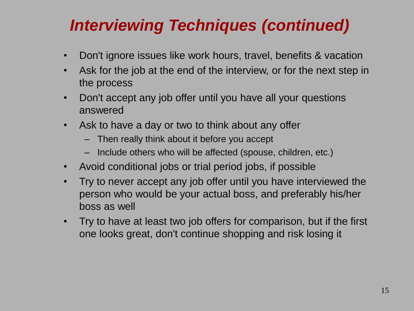## *Interviewing Techniques (continued)*

- Don't ignore issues like work hours, travel, benefits & vacation
- Ask for the job at the end of the interview, or for the next step in the process
- Don't accept any job offer until you have all your questions answered
- Ask to have a day or two to think about any offer
	- Then really think about it before you accept
	- Include others who will be affected (spouse, children, etc.)
- Avoid conditional jobs or trial period jobs, if possible
- Try to never accept any job offer until you have interviewed the person who would be your actual boss, and preferably his/her boss as well
- Try to have at least two job offers for comparison, but if the first one looks great, don't continue shopping and risk losing it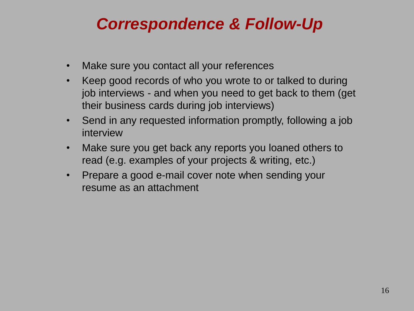## *Correspondence & Follow-Up*

- Make sure you contact all your references
- Keep good records of who you wrote to or talked to during job interviews - and when you need to get back to them (get their business cards during job interviews)
- Send in any requested information promptly, following a job interview
- Make sure you get back any reports you loaned others to read (e.g. examples of your projects & writing, etc.)
- Prepare a good e-mail cover note when sending your resume as an attachment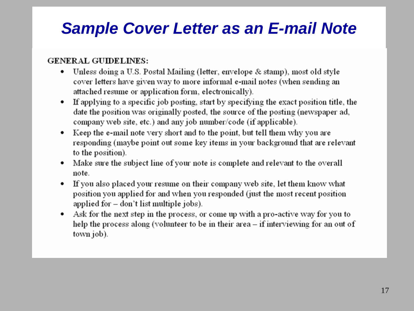### **Sample Cover Letter as an E-mail Note**

#### **GENERAL GUIDELINES:**

- Unless doing a U.S. Postal Mailing (letter, envelope & stamp), most old style ٠ cover letters have given way to more informal e-mail notes (when sending an attached resume or application form, electronically).
- If applying to a specific job posting, start by specifying the exact position title, the date the position was originally posted, the source of the posting (newspaper ad, company web site, etc.) and any job number/code (if applicable).
- Keep the e-mail note very short and to the point, but tell them why you are responding (maybe point out some key items in your background that are relevant to the position).
- Make sure the subject line of your note is complete and relevant to the overall note.
- If you also placed your resume on their company web site, let them know what position you applied for and when you responded (just the most recent position applied for – don't list multiple jobs).
- Ask for the next step in the process, or come up with a pro-active way for you to help the process along (volunteer to be in their area – if interviewing for an out of town job).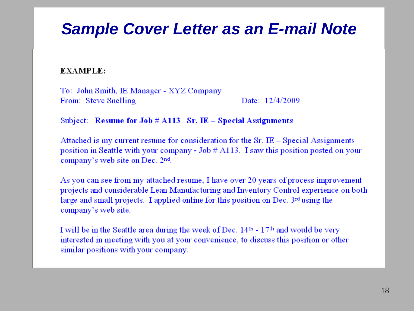### *Sample Cover Letter as an E-mail Note*

**EXAMPLE:** 

To: John Smith, IE Manager - XYZ Company From: Steve Snelling Date:  $12/4/2009$ 

Subject: Resume for Job  $\#$  A113 Sr. IE - Special Assignments

Attached is my current resume for consideration for the  $Sr. \tE - Special Assigaments$ position in Seattle with your company - Job # A113. I saw this position posted on your company's web site on Dec. 2nd.

As you can see from my attached resume, I have over 20 years of process improvement projects and considerable Lean Manufacturing and Inventory Control experience on both large and small projects. I applied online for this position on Dec.  $3^{rd}$  using the company's web site.

I will be in the Seattle area during the week of Dec. 14th - 17th and would be very interested in meeting with you at your convenience, to discuss this position or other similar positions with your company.